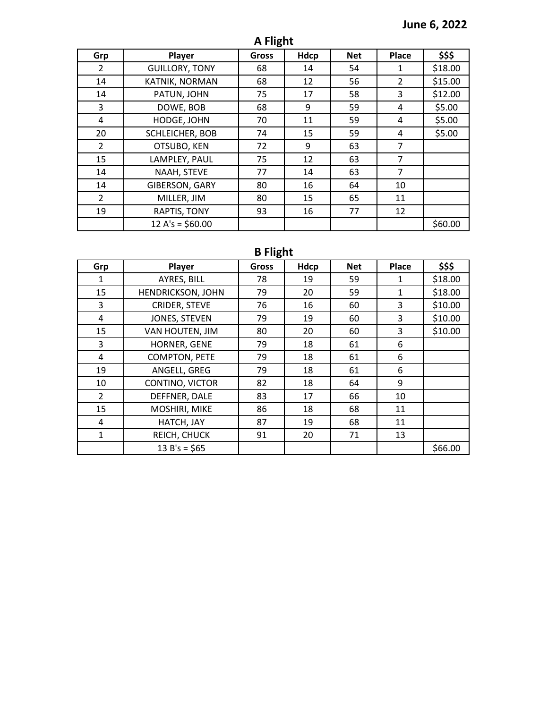## **June 6, 2022**

| A Flight |  |
|----------|--|
|----------|--|

| Grp            | Player                | <b>Gross</b> | Hdcp | <b>Net</b> | Place          | \$\$\$  |
|----------------|-----------------------|--------------|------|------------|----------------|---------|
| 2              | <b>GUILLORY, TONY</b> | 68           | 14   | 54         | 1              | \$18.00 |
| 14             | KATNIK, NORMAN        | 68           | 12   | 56         | 2              | \$15.00 |
| 14             | PATUN, JOHN           | 75           | 17   | 58         | 3              | \$12.00 |
| 3              | DOWE, BOB             | 68           | 9    | 59         | 4              | \$5.00  |
| 4              | HODGE, JOHN           | 70           | 11   | 59         | 4              | \$5.00  |
| 20             | SCHLEICHER, BOB       | 74           | 15   | 59         | 4              | \$5.00  |
| $\overline{2}$ | OTSUBO, KEN           | 72           | 9    | 63         | $\overline{7}$ |         |
| 15             | LAMPLEY, PAUL         | 75           | 12   | 63         | 7              |         |
| 14             | NAAH, STEVE           | 77           | 14   | 63         | $\overline{7}$ |         |
| 14             | GIBERSON, GARY        | 80           | 16   | 64         | 10             |         |
| $\overline{2}$ | MILLER, JIM           | 80           | 15   | 65         | 11             |         |
| 19             | RAPTIS, TONY          | 93           | 16   | 77         | 12             |         |
|                | $12 A's = $60.00$     |              |      |            |                | \$60.00 |

## **B Flight**

| Grp            | Player               | <b>Gross</b> | Hdcp | <b>Net</b> | <b>Place</b> | \$\$\$  |
|----------------|----------------------|--------------|------|------------|--------------|---------|
| $\mathbf{1}$   | AYRES, BILL          | 78           | 19   | 59         | 1            | \$18.00 |
| 15             | HENDRICKSON, JOHN    | 79           | 20   | 59         | 1            | \$18.00 |
| 3              | <b>CRIDER, STEVE</b> | 76           | 16   | 60         | 3            | \$10.00 |
| 4              | JONES, STEVEN        | 79           | 19   | 60         | 3            | \$10.00 |
| 15             | VAN HOUTEN, JIM      | 80           | 20   | 60         | 3            | \$10.00 |
| 3              | HORNER, GENE         | 79           | 18   | 61         | 6            |         |
| 4              | <b>COMPTON, PETE</b> | 79           | 18   | 61         | 6            |         |
| 19             | ANGELL, GREG         | 79           | 18   | 61         | 6            |         |
| 10             | CONTINO, VICTOR      | 82           | 18   | 64         | 9            |         |
| $\overline{2}$ | DEFFNER, DALE        | 83           | 17   | 66         | 10           |         |
| 15             | MOSHIRI, MIKE        | 86           | 18   | 68         | 11           |         |
| 4              | HATCH, JAY           | 87           | 19   | 68         | 11           |         |
| $\mathbf{1}$   | REICH, CHUCK         | 91           | 20   | 71         | 13           |         |
|                | $13 B's = $65$       |              |      |            |              | \$66.00 |